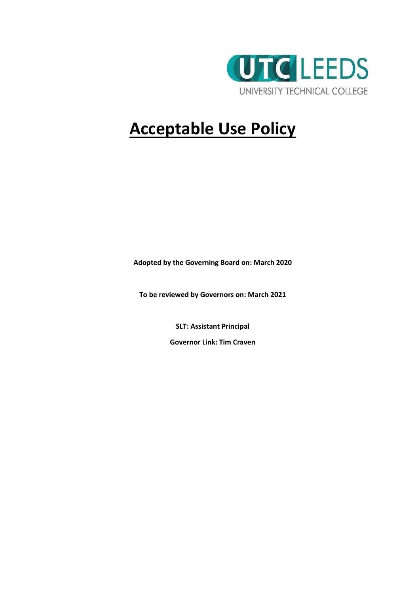

## **Acceptable Use Policy**

**Adopted by the Governing Board on: March 2020**

**To be reviewed by Governors on: March 2021** 

**SLT: Assistant Principal**

**Governor Link: Tim Craven**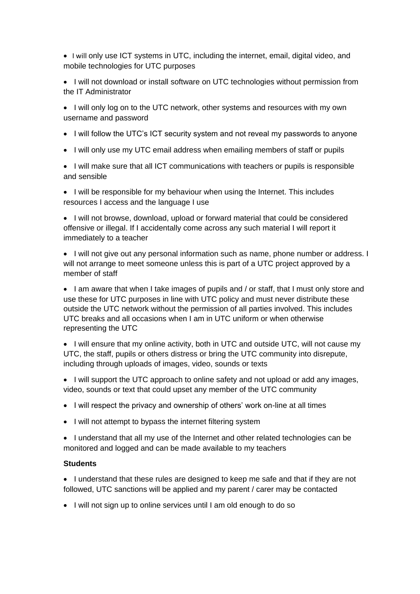• I will only use ICT systems in UTC, including the internet, email, digital video, and mobile technologies for UTC purposes

- I will not download or install software on UTC technologies without permission from the IT Administrator
- I will only log on to the UTC network, other systems and resources with my own username and password
- I will follow the UTC's ICT security system and not reveal my passwords to anyone
- I will only use my UTC email address when emailing members of staff or pupils

• I will make sure that all ICT communications with teachers or pupils is responsible and sensible

• I will be responsible for my behaviour when using the Internet. This includes resources I access and the language I use

• I will not browse, download, upload or forward material that could be considered offensive or illegal. If I accidentally come across any such material I will report it immediately to a teacher

• I will not give out any personal information such as name, phone number or address. I will not arrange to meet someone unless this is part of a UTC project approved by a member of staff

• I am aware that when I take images of pupils and / or staff, that I must only store and use these for UTC purposes in line with UTC policy and must never distribute these outside the UTC network without the permission of all parties involved. This includes UTC breaks and all occasions when I am in UTC uniform or when otherwise representing the UTC

• I will ensure that my online activity, both in UTC and outside UTC, will not cause my UTC, the staff, pupils or others distress or bring the UTC community into disrepute, including through uploads of images, video, sounds or texts

• I will support the UTC approach to online safety and not upload or add any images, video, sounds or text that could upset any member of the UTC community

- I will respect the privacy and ownership of others' work on-line at all times
- I will not attempt to bypass the internet filtering system

• I understand that all my use of the Internet and other related technologies can be monitored and logged and can be made available to my teachers

## **Students**

• I understand that these rules are designed to keep me safe and that if they are not followed, UTC sanctions will be applied and my parent / carer may be contacted

• I will not sign up to online services until I am old enough to do so